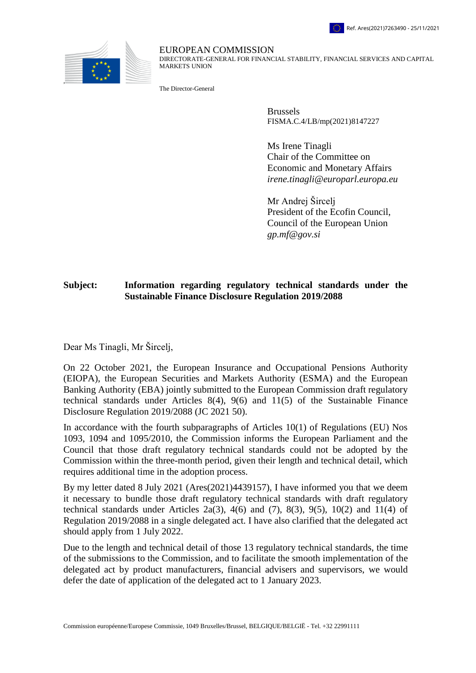



EUROPEAN COMMISSION DIRECTORATE-GENERAL FOR FINANCIAL STABILITY, FINANCIAL SERVICES AND CAPITAL MARKETS UNION

The Director-General

Brussels FISMA.C.4/LB/mp(2021)8147227

Ms Irene Tinagli Chair of the Committee on Economic and Monetary Affairs *irene.tinagli@europarl.europa.eu*

Mr Andrej Šircelj President of the Ecofin Council, Council of the European Union *gp.mf@gov.si*

## **Subject: Information regarding regulatory technical standards under the Sustainable Finance Disclosure Regulation 2019/2088**

Dear Ms Tinagli, Mr Šircelj,

On 22 October 2021, the European Insurance and Occupational Pensions Authority (EIOPA), the European Securities and Markets Authority (ESMA) and the European Banking Authority (EBA) jointly submitted to the European Commission draft regulatory technical standards under Articles 8(4), 9(6) and 11(5) of the Sustainable Finance Disclosure Regulation 2019/2088 (JC 2021 50).

In accordance with the fourth subparagraphs of Articles 10(1) of Regulations (EU) Nos 1093, 1094 and 1095/2010, the Commission informs the European Parliament and the Council that those draft regulatory technical standards could not be adopted by the Commission within the three-month period, given their length and technical detail, which requires additional time in the adoption process.

By my letter dated 8 July 2021 (Ares(2021)4439157), I have informed you that we deem it necessary to bundle those draft regulatory technical standards with draft regulatory technical standards under Articles 2a(3), 4(6) and (7), 8(3), 9(5), 10(2) and 11(4) of Regulation 2019/2088 in a single delegated act. I have also clarified that the delegated act should apply from 1 July 2022.

Due to the length and technical detail of those 13 regulatory technical standards, the time of the submissions to the Commission, and to facilitate the smooth implementation of the delegated act by product manufacturers, financial advisers and supervisors, we would defer the date of application of the delegated act to 1 January 2023.